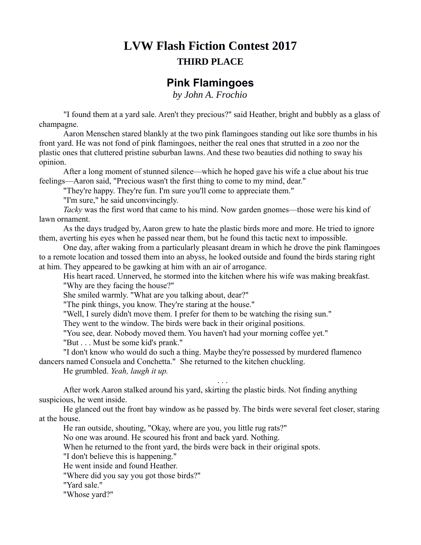## **LVW Flash Fiction Contest 2017 THIRD PLACE**

## **Pink Flamingoes**

*by John A. Frochio*

"I found them at a yard sale. Aren't they precious?" said Heather, bright and bubbly as a glass of champagne.

Aaron Menschen stared blankly at the two pink flamingoes standing out like sore thumbs in his front yard. He was not fond of pink flamingoes, neither the real ones that strutted in a zoo nor the plastic ones that cluttered pristine suburban lawns. And these two beauties did nothing to sway his opinion.

After a long moment of stunned silence—which he hoped gave his wife a clue about his true feelings—Aaron said, "Precious wasn't the first thing to come to my mind, dear."

"They're happy. They're fun. I'm sure you'll come to appreciate them."

"I'm sure," he said unconvincingly.

*Tacky* was the first word that came to his mind. Now garden gnomes—those were his kind of lawn ornament.

As the days trudged by, Aaron grew to hate the plastic birds more and more. He tried to ignore them, averting his eyes when he passed near them, but he found this tactic next to impossible.

One day, after waking from a particularly pleasant dream in which he drove the pink flamingoes to a remote location and tossed them into an abyss, he looked outside and found the birds staring right at him. They appeared to be gawking at him with an air of arrogance.

His heart raced. Unnerved, he stormed into the kitchen where his wife was making breakfast. "Why are they facing the house?"

She smiled warmly. "What are you talking about, dear?"

"The pink things, you know. They're staring at the house."

"Well, I surely didn't move them. I prefer for them to be watching the rising sun."

They went to the window. The birds were back in their original positions.

"You see, dear. Nobody moved them. You haven't had your morning coffee yet."

"But . . . Must be some kid's prank."

"I don't know who would do such a thing. Maybe they're possessed by murdered flamenco dancers named Consuela and Conchetta." She returned to the kitchen chuckling.

He grumbled. *Yeah, laugh it up.*

After work Aaron stalked around his yard, skirting the plastic birds. Not finding anything suspicious, he went inside.

He glanced out the front bay window as he passed by. The birds were several feet closer, staring at the house.

. . .

He ran outside, shouting, "Okay, where are you, you little rug rats?"

No one was around. He scoured his front and back yard. Nothing.

When he returned to the front yard, the birds were back in their original spots.

"I don't believe this is happening."

He went inside and found Heather.

"Where did you say you got those birds?"

"Yard sale."

"Whose yard?"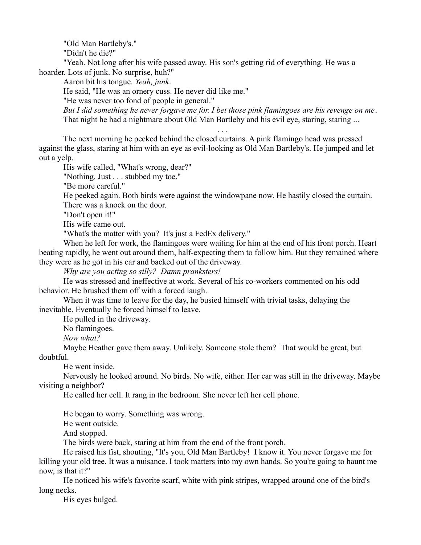"Old Man Bartleby's."

"Didn't he die?"

"Yeah. Not long after his wife passed away. His son's getting rid of everything. He was a hoarder. Lots of junk. No surprise, huh?"

Aaron bit his tongue. *Yeah, junk*.

He said, "He was an ornery cuss. He never did like me."

"He was never too fond of people in general."

*But I did something he never forgave me for. I bet those pink flamingoes are his revenge on me*. That night he had a nightmare about Old Man Bartleby and his evil eye, staring, staring ...

. . .

The next morning he peeked behind the closed curtains. A pink flamingo head was pressed against the glass, staring at him with an eye as evil-looking as Old Man Bartleby's. He jumped and let out a yelp.

His wife called, "What's wrong, dear?"

"Nothing. Just . . . stubbed my toe."

"Be more careful."

He peeked again. Both birds were against the windowpane now. He hastily closed the curtain. There was a knock on the door.

"Don't open it!"

His wife came out.

"What's the matter with you? It's just a FedEx delivery."

When he left for work, the flamingoes were waiting for him at the end of his front porch. Heart beating rapidly, he went out around them, half-expecting them to follow him. But they remained where they were as he got in his car and backed out of the driveway.

*Why are you acting so silly? Damn pranksters!*

He was stressed and ineffective at work. Several of his co-workers commented on his odd behavior. He brushed them off with a forced laugh.

When it was time to leave for the day, he busied himself with trivial tasks, delaying the inevitable. Eventually he forced himself to leave.

He pulled in the driveway.

No flamingoes.

*Now what?*

Maybe Heather gave them away. Unlikely. Someone stole them? That would be great, but doubtful.

He went inside.

Nervously he looked around. No birds. No wife, either. Her car was still in the driveway. Maybe visiting a neighbor?

He called her cell. It rang in the bedroom. She never left her cell phone.

He began to worry. Something was wrong.

He went outside.

And stopped.

The birds were back, staring at him from the end of the front porch.

He raised his fist, shouting, "It's you, Old Man Bartleby! I know it. You never forgave me for killing your old tree. It was a nuisance. I took matters into my own hands. So you're going to haunt me now, is that it?"

He noticed his wife's favorite scarf, white with pink stripes, wrapped around one of the bird's long necks.

His eyes bulged.